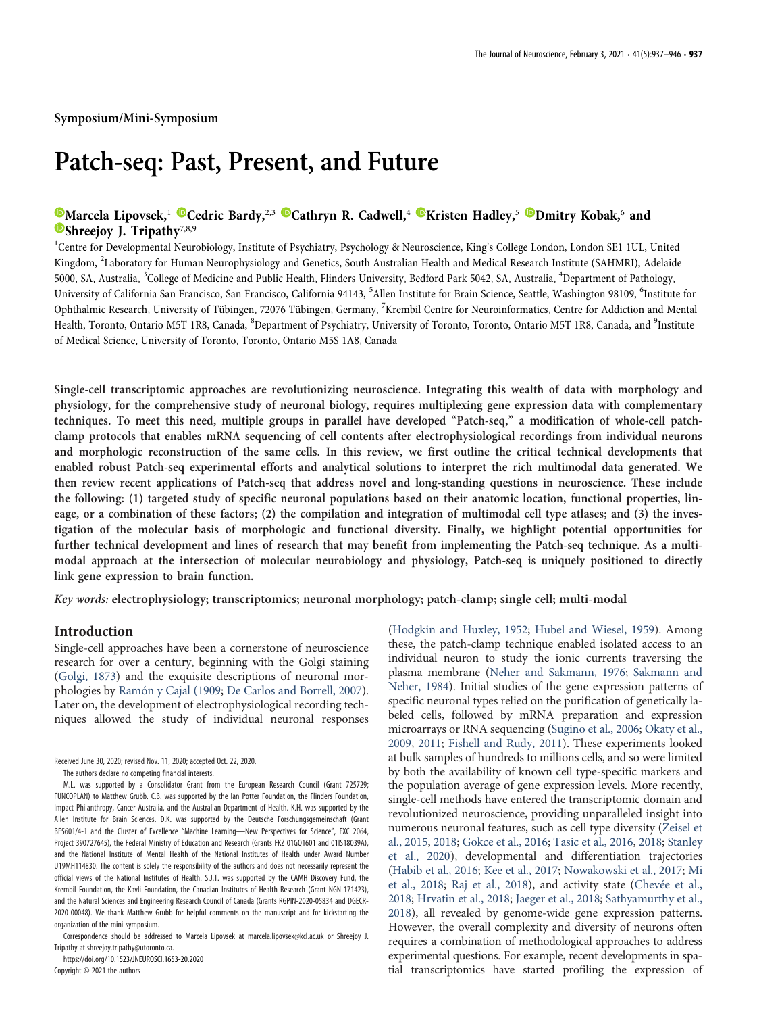Symposium/Mini-Symposium

# Patch-seq: Past, Present, and Future

# **[Marcela Lipovsek,](https://orcid.org/0000-0001-9328-0328)<sup>1</sup> [Cedric Bardy,](https://orcid.org/0000-0001-8321-0852)**<sup>2,3</sup> [Cathryn R. Cadwell,](https://orcid.org/0000-0003-1963-8285)<sup>4</sup> Cheristen Hadley,<sup>5</sup> C[Dmitry Kobak,](https://orcid.org/0000-0002-5639-7209)<sup>6</sup> and  $\bullet$ [Shreejoy J. Tripathy](https://orcid.org/0000-0002-1007-9061)<sup>7,8,9</sup>

<sup>1</sup>Centre for Developmental Neurobiology, Institute of Psychiatry, Psychology & Neuroscience, King's College London, London SE1 1UL, United Kingdom, <sup>2</sup>Laboratory for Human Neurophysiology and Genetics, South Australian Health and Medical Research Institute (SAHMRI), Adelaide 5000, SA, Australia, <sup>3</sup>College of Medicine and Public Health, Flinders University, Bedford Park 5042, SA, Australia, <sup>4</sup>Department of Pathology, University of California San Francisco, San Francisco, California 94143, <sup>5</sup>Allen Institute for Brain Science, Seattle, Washington 98109, <sup>6</sup>Institute for Ophthalmic Research, University of Tübingen, 72076 Tübingen, Germany, <sup>7</sup>Krembil Centre for Neuroinformatics, Centre for Addiction and Mental Health, Toronto, Ontario M5T 1R8, Canada, <sup>8</sup>Department of Psychiatry, University of Toronto, Toronto, Ontario M5T 1R8, Canada, and <sup>9</sup>Institute of Medical Science, University of Toronto, Toronto, Ontario M5S 1A8, Canada

Single-cell transcriptomic approaches are revolutionizing neuroscience. Integrating this wealth of data with morphology and physiology, for the comprehensive study of neuronal biology, requires multiplexing gene expression data with complementary techniques. To meet this need, multiple groups in parallel have developed "Patch-seq," a modification of whole-cell patchclamp protocols that enables mRNA sequencing of cell contents after electrophysiological recordings from individual neurons and morphologic reconstruction of the same cells. In this review, we first outline the critical technical developments that enabled robust Patch-seq experimental efforts and analytical solutions to interpret the rich multimodal data generated. We then review recent applications of Patch-seq that address novel and long-standing questions in neuroscience. These include the following: (1) targeted study of specific neuronal populations based on their anatomic location, functional properties, lineage, or a combination of these factors; (2) the compilation and integration of multimodal cell type atlases; and (3) the investigation of the molecular basis of morphologic and functional diversity. Finally, we highlight potential opportunities for further technical development and lines of research that may benefit from implementing the Patch-seq technique. As a multimodal approach at the intersection of molecular neurobiology and physiology, Patch-seq is uniquely positioned to directly link gene expression to brain function.

Key words: electrophysiology; transcriptomics; neuronal morphology; patch-clamp; single cell; multi-modal

# Introduction

Single-cell approaches have been a cornerstone of neuroscience research for over a century, beginning with the Golgi staining [\(Golgi, 1873\)](#page-7-0) and the exquisite descriptions of neuronal morphologies by [Ramón y Cajal \(1909;](#page-8-0) [De Carlos and Borrell, 2007\)](#page-7-1). Later on, the development of electrophysiological recording techniques allowed the study of individual neuronal responses

Received June 30, 2020; revised Nov. 11, 2020; accepted Oct. 22, 2020.

M.L. was supported by a Consolidator Grant from the European Research Council (Grant 725729; FUNCOPLAN) to Matthew Grubb. C.B. was supported by the Ian Potter Foundation, the Flinders Foundation, Impact Philanthropy, Cancer Australia, and the Australian Department of Health. K.H. was supported by the Allen Institute for Brain Sciences. D.K. was supported by the Deutsche Forschungsgemeinschaft (Grant BE5601/4-1 and the Cluster of Excellence "Machine Learning—New Perspectives for Science", EXC 2064, Project 390727645), the Federal Ministry of Education and Research (Grants FKZ 01GQ1601 and 01IS18039A), and the National Institute of Mental Health of the National Institutes of Health under Award Number U19MH114830. The content is solely the responsibility of the authors and does not necessarily represent the official views of the National Institutes of Health. S.J.T. was supported by the CAMH Discovery Fund, the Krembil Foundation, the Kavli Foundation, the Canadian Institutes of Health Research (Grant NGN-171423), and the Natural Sciences and Engineering Research Council of Canada (Grants RGPIN-2020-05834 and DGECR-2020-00048). We thank Matthew Grubb for helpful comments on the manuscript and for kickstarting the organization of the mini-symposium.

Correspondence should be addressed to Marcela Lipovsek at [marcela.lipovsek@kcl.ac.uk](mailto:marcela.lipovsek@kcl.ac.uk) or Shreejoy J. Tripathy at [shreejoy.tripathy@utoronto.ca](mailto:shreejoy.tripathy@utoronto.ca).

https://doi.org/10.1523/JNEUROSCI.1653-20.2020

Copyright © 2021 the authors

[\(Hodgkin and Huxley, 1952;](#page-7-2) [Hubel and Wiesel, 1959\)](#page-7-3). Among these, the patch-clamp technique enabled isolated access to an individual neuron to study the ionic currents traversing the plasma membrane [\(Neher and Sakmann, 1976](#page-8-1); [Sakmann and](#page-8-2) [Neher, 1984\)](#page-8-2). Initial studies of the gene expression patterns of specific neuronal types relied on the purification of genetically labeled cells, followed by mRNA preparation and expression microarrays or RNA sequencing [\(Sugino et al., 2006](#page-9-0); [Okaty et al.,](#page-8-3) [2009,](#page-8-3) [2011](#page-8-4); [Fishell and Rudy, 2011\)](#page-7-4). These experiments looked at bulk samples of hundreds to millions cells, and so were limited by both the availability of known cell type-specific markers and the population average of gene expression levels. More recently, single-cell methods have entered the transcriptomic domain and revolutionized neuroscience, providing unparalleled insight into numerous neuronal features, such as cell type diversity ([Zeisel et](#page-9-1) [al., 2015,](#page-9-1) [2018](#page-9-2); [Gokce et al., 2016](#page-7-5); [Tasic et al., 2016](#page-9-3), [2018;](#page-9-4) [Stanley](#page-9-5) [et al., 2020](#page-9-5)), developmental and differentiation trajectories [\(Habib et al., 2016](#page-7-6); [Kee et al., 2017](#page-8-5); [Nowakowski et al., 2017](#page-8-6); [Mi](#page-8-7) [et al., 2018](#page-8-7); [Raj et al., 2018](#page-8-8)), and activity state [\(Chevée et al.,](#page-7-7) [2018;](#page-7-7) [Hrvatin et al., 2018](#page-7-8); [Jaeger et al., 2018;](#page-7-9) [Sathyamurthy et al.,](#page-8-9) [2018\)](#page-8-9), all revealed by genome-wide gene expression patterns. However, the overall complexity and diversity of neurons often requires a combination of methodological approaches to address experimental questions. For example, recent developments in spatial transcriptomics have started profiling the expression of

The authors declare no competing financial interests.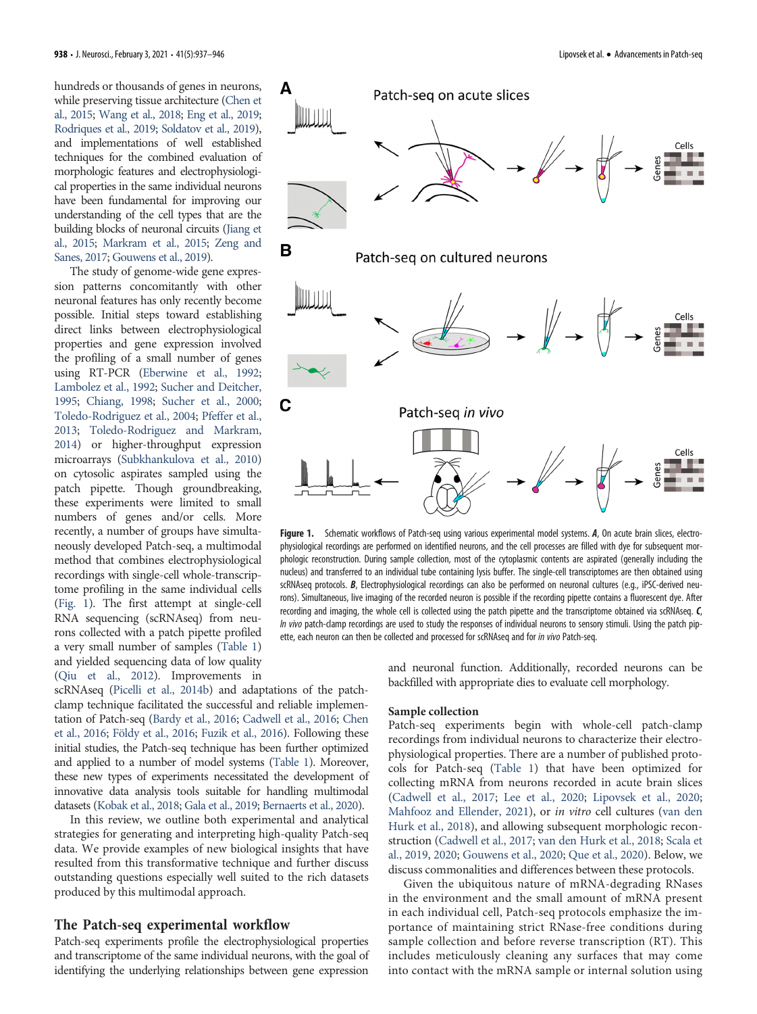hundreds or thousands of genes in neurons, while preserving tissue architecture [\(Chen et](#page-7-10) [al., 2015;](#page-7-10) [Wang et al., 2018;](#page-9-6) [Eng et al., 2019](#page-7-11); [Rodriques et al., 2019](#page-8-10); [Soldatov et al., 2019](#page-9-7)), and implementations of well established techniques for the combined evaluation of morphologic features and electrophysiological properties in the same individual neurons have been fundamental for improving our understanding of the cell types that are the building blocks of neuronal circuits [\(Jiang et](#page-8-11) [al., 2015](#page-8-11); [Markram et al., 2015;](#page-8-12) [Zeng and](#page-9-8) [Sanes, 2017;](#page-9-8) [Gouwens et al., 2019\)](#page-7-12).

The study of genome-wide gene expression patterns concomitantly with other neuronal features has only recently become possible. Initial steps toward establishing direct links between electrophysiological properties and gene expression involved the profiling of a small number of genes using RT-PCR [\(Eberwine et al., 1992](#page-7-13); [Lambolez et al., 1992;](#page-8-13) [Sucher and Deitcher,](#page-9-9) [1995;](#page-9-9) [Chiang, 1998](#page-7-14); [Sucher et al., 2000](#page-9-10); [Toledo-Rodriguez et al., 2004](#page-9-11); [Pfeffer et al.,](#page-8-14) [2013;](#page-8-14) [Toledo-Rodriguez and Markram,](#page-9-12) [2014\)](#page-9-12) or higher-throughput expression microarrays ([Subkhankulova et al., 2010](#page-9-13)) on cytosolic aspirates sampled using the patch pipette. Though groundbreaking, these experiments were limited to small numbers of genes and/or cells. More recently, a number of groups have simultaneously developed Patch-seq, a multimodal method that combines electrophysiological recordings with single-cell whole-transcriptome profiling in the same individual cells [\(Fig. 1\)](#page-1-0). The first attempt at single-cell RNA sequencing (scRNAseq) from neurons collected with a patch pipette profiled a very small number of samples ([Table 1](#page-2-0)) and yielded sequencing data of low quality [\(Qiu et al., 2012\)](#page-8-15). Improvements in



<span id="page-1-0"></span>Figure 1. Schematic workflows of Patch-seq using various experimental model systems. A, On acute brain slices, electrophysiological recordings are performed on identified neurons, and the cell processes are filled with dye for subsequent morphologic reconstruction. During sample collection, most of the cytoplasmic contents are aspirated (generally including the nucleus) and transferred to an individual tube containing lysis buffer. The single-cell transcriptomes are then obtained using scRNAseq protocols. B, Electrophysiological recordings can also be performed on neuronal cultures (e.g., iPSC-derived neurons). Simultaneous, live imaging of the recorded neuron is possible if the recording pipette contains a fluorescent dye. After recording and imaging, the whole cell is collected using the patch pipette and the transcriptome obtained via scRNAseq. C, In vivo patch-clamp recordings are used to study the responses of individual neurons to sensory stimuli. Using the patch pipette, each neuron can then be collected and processed for scRNAseq and for in vivo Patch-seq.

scRNAseq [\(Picelli et al., 2014b\)](#page-8-16) and adaptations of the patchclamp technique facilitated the successful and reliable implementation of Patch-seq [\(Bardy et al., 2016;](#page-7-15) [Cadwell et al., 2016](#page-7-16); [Chen](#page-7-17) [et al., 2016](#page-7-17); [Földy et al., 2016;](#page-7-18) [Fuzik et al., 2016\)](#page-7-19). Following these initial studies, the Patch-seq technique has been further optimized and applied to a number of model systems [\(Table 1\)](#page-2-0). Moreover, these new types of experiments necessitated the development of innovative data analysis tools suitable for handling multimodal datasets [\(Kobak et al., 2018;](#page-8-17) [Gala et al., 2019;](#page-7-20) [Bernaerts et al., 2020\)](#page-7-21).

In this review, we outline both experimental and analytical strategies for generating and interpreting high-quality Patch-seq data. We provide examples of new biological insights that have resulted from this transformative technique and further discuss outstanding questions especially well suited to the rich datasets produced by this multimodal approach.

## The Patch-seq experimental workflow

Patch-seq experiments profile the electrophysiological properties and transcriptome of the same individual neurons, with the goal of identifying the underlying relationships between gene expression

and neuronal function. Additionally, recorded neurons can be backfilled with appropriate dies to evaluate cell morphology.

#### Sample collection

Patch-seq experiments begin with whole-cell patch-clamp recordings from individual neurons to characterize their electrophysiological properties. There are a number of published protocols for Patch-seq ([Table 1\)](#page-2-0) that have been optimized for collecting mRNA from neurons recorded in acute brain slices [\(Cadwell et al., 2017;](#page-7-22) [Lee et al., 2020;](#page-8-18) [Lipovsek et al., 2020;](#page-8-19) [Mahfooz and Ellender, 2021\)](#page-8-20), or in vitro cell cultures [\(van den](#page-9-14) [Hurk et al., 2018\)](#page-9-14), and allowing subsequent morphologic reconstruction [\(Cadwell et al., 2017;](#page-7-22) [van den Hurk et al., 2018;](#page-9-14) [Scala et](#page-8-21) [al., 2019,](#page-8-21) [2020](#page-8-22); [Gouwens et al., 2020](#page-7-23); [Que et al., 2020\)](#page-8-23). Below, we discuss commonalities and differences between these protocols.

Given the ubiquitous nature of mRNA-degrading RNases in the environment and the small amount of mRNA present in each individual cell, Patch-seq protocols emphasize the importance of maintaining strict RNase-free conditions during sample collection and before reverse transcription (RT). This includes meticulously cleaning any surfaces that may come into contact with the mRNA sample or internal solution using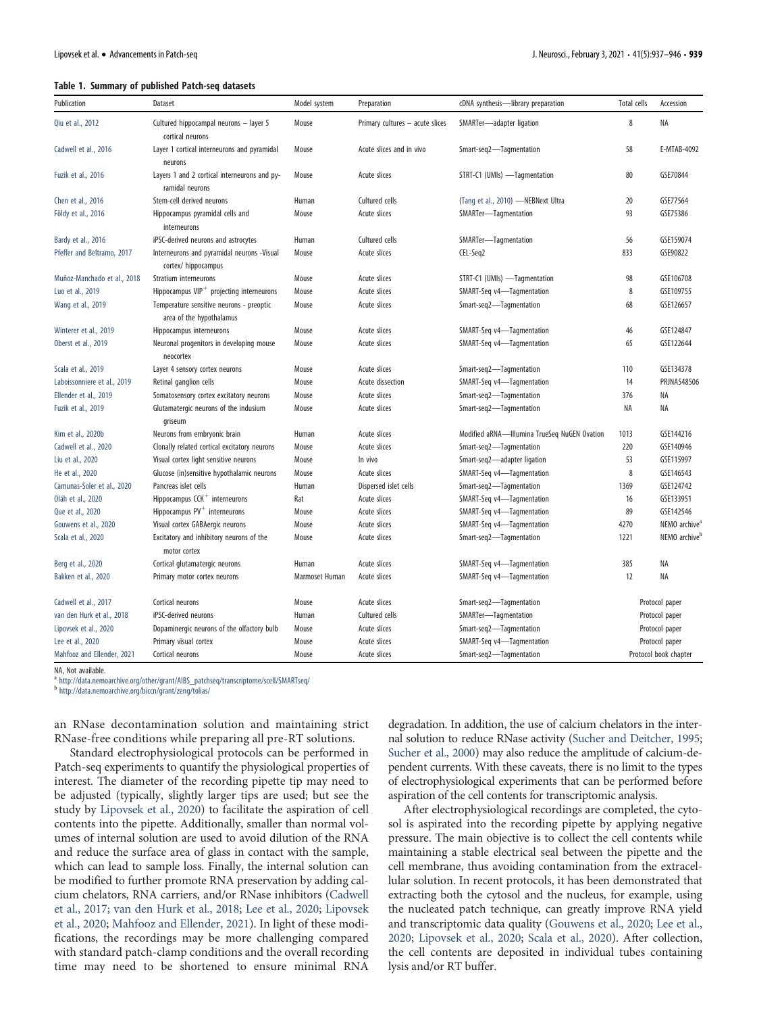### Table 1. Summary of published Patch-seq datasets

| Publication                 | Dataset                                                              | Model system   | Preparation                     | cDNA synthesis-library preparation           | Total cells           | Accession                 |
|-----------------------------|----------------------------------------------------------------------|----------------|---------------------------------|----------------------------------------------|-----------------------|---------------------------|
| Qiu et al., 2012            | Cultured hippocampal neurons - layer 5<br>cortical neurons           | Mouse          | Primary cultures - acute slices | SMARTer-adapter ligation                     | 8                     | ΝA                        |
| Cadwell et al., 2016        | Layer 1 cortical interneurons and pyramidal<br>neurons               | Mouse          | Acute slices and in vivo        | Smart-seg2-Tagmentation                      | 58                    | E-MTAB-4092               |
| Fuzik et al., 2016          | Layers 1 and 2 cortical interneurons and py-<br>ramidal neurons      | Mouse          | Acute slices                    | STRT-C1 (UMIs) -Tagmentation                 | 80                    | GSE70844                  |
| Chen et al., 2016           | Stem-cell derived neurons                                            | Human          | Cultured cells                  | (Tang et al., 2010) -NEBNext Ultra           | 20                    | GSE77564                  |
| Földy et al., 2016          | Hippocampus pyramidal cells and<br>interneurons                      | Mouse          | Acute slices                    | SMARTer-Tagmentation                         | 93                    | GSE75386                  |
| Bardy et al., 2016          | iPSC-derived neurons and astrocytes                                  | Human          | Cultured cells                  | SMARTer-Tagmentation                         | 56                    | GSE159074                 |
| Pfeffer and Beltramo, 2017  | Interneurons and pyramidal neurons -Visual<br>cortex/ hippocampus    | Mouse          | Acute slices                    | CEL-Seq2                                     | 833                   | GSE90822                  |
| Muñoz-Manchado et al., 2018 | Stratium interneurons                                                | Mouse          | Acute slices                    | STRT-C1 (UMIs) -Tagmentation                 | 98                    | GSE106708                 |
| Luo et al., 2019            | Hippocampus $VIP^+$ projecting interneurons                          | Mouse          | Acute slices                    | SMART-Seq v4-Tagmentation                    | 8                     | GSE109755                 |
| Wang et al., 2019           | Temperature sensitive neurons - preoptic<br>area of the hypothalamus | Mouse          | Acute slices                    | Smart-seq2-Tagmentation                      | 68                    | GSE126657                 |
| Winterer et al., 2019       | Hippocampus interneurons                                             | Mouse          | Acute slices                    | SMART-Seq v4-Tagmentation                    | 46                    | GSE124847                 |
| Oberst et al., 2019         | Neuronal progenitors in developing mouse<br>neocortex                | Mouse          | Acute slices                    | SMART-Seq v4-Tagmentation                    | 65                    | GSE122644                 |
| Scala et al., 2019          | Layer 4 sensory cortex neurons                                       | Mouse          | Acute slices                    | Smart-seq2-Tagmentation                      | 110                   | GSE134378                 |
| Laboissonniere et al., 2019 | Retinal ganglion cells                                               | Mouse          | Acute dissection                | SMART-Seq v4-Tagmentation                    | 14                    | <b>PRJNA548506</b>        |
| Ellender et al., 2019       | Somatosensory cortex excitatory neurons                              | Mouse          | Acute slices                    | Smart-seq2-Tagmentation                      | 376                   | ΝA                        |
| Fuzik et al., 2019          | Glutamatergic neurons of the indusium<br>qriseum                     | Mouse          | Acute slices                    | Smart-seq2-Tagmentation                      | ΝA                    | ΝA                        |
| Kim et al., 2020b           | Neurons from embryonic brain                                         | Human          | Acute slices                    | Modified aRNA-Illumina TrueSeq NuGEN Ovation | 1013                  | GSE144216                 |
| Cadwell et al., 2020        | Clonally related cortical excitatory neurons                         | Mouse          | Acute slices                    | Smart-seq2-Tagmentation                      | 220                   | GSE140946                 |
| Liu et al., 2020            | Visual cortex light sensitive neurons                                | Mouse          | In vivo                         | Smart-seq2-adapter ligation                  | 53                    | GSE115997                 |
| He et al., 2020             | Glucose (in)sensitive hypothalamic neurons                           | Mouse          | Acute slices                    | SMART-Seq v4-Tagmentation                    | 8                     | GSE146543                 |
| Camunas-Soler et al., 2020  | Pancreas islet cells                                                 | Human          | Dispersed islet cells           | Smart-seg2-Tagmentation                      | 1369                  | GSE124742                 |
| Oláh et al., 2020           | Hippocampus CCK <sup>+</sup> interneurons                            | Rat            | Acute slices                    | SMART-Seq v4-Tagmentation                    | 16                    | GSE133951                 |
| Que et al., 2020            | Hippocampus $PV$ <sup>+</sup> interneurons                           | Mouse          | Acute slices                    | SMART-Seq v4-Tagmentation                    | 89                    | GSE142546                 |
| Gouwens et al., 2020        | Visual cortex GABAergic neurons                                      | Mouse          | Acute slices                    | SMART-Seq v4-Tagmentation                    | 4270                  | NEMO archive <sup>a</sup> |
| Scala et al., 2020          | Excitatory and inhibitory neurons of the<br>motor cortex             | Mouse          | Acute slices                    | Smart-seq2-Tagmentation                      | 1221                  | NEMO archive <sup>t</sup> |
| Berg et al., 2020           | Cortical glutamatergic neurons                                       | Human          | Acute slices                    | SMART-Seq v4-Tagmentation                    | 385                   | <b>NA</b>                 |
| Bakken et al., 2020         | Primary motor cortex neurons                                         | Marmoset Human | Acute slices                    | SMART-Seq v4-Tagmentation                    | 12                    | NA                        |
| Cadwell et al., 2017        | Cortical neurons                                                     | Mouse          | Acute slices                    | Smart-seq2-Tagmentation                      |                       | Protocol paper            |
| van den Hurk et al., 2018   | iPSC-derived neurons                                                 | Human          | Cultured cells                  | SMARTer-Tagmentation                         | Protocol paper        |                           |
| Lipovsek et al., 2020       | Dopaminergic neurons of the olfactory bulb                           | Mouse          | Acute slices                    | Smart-seq2-Tagmentation                      |                       | Protocol paper            |
| Lee et al., 2020            | Primary visual cortex                                                | Mouse          | Acute slices                    | SMART-Seg v4-Tagmentation                    |                       | Protocol paper            |
| Mahfooz and Ellender, 2021  | Cortical neurons                                                     | Mouse          | Acute slices                    | Smart-seq2-Tagmentation                      | Protocol book chapter |                           |

NA, Not available.

http://data.nemoarchive.org/other/grant/AIBS\_patchseg/transcriptome/scell/SMARTseq/

<span id="page-2-0"></span><sup>b</sup> <http://data.nemoarchive.org/biccn/grant/zeng/tolias/>

an RNase decontamination solution and maintaining strict RNase-free conditions while preparing all pre-RT solutions.

Standard electrophysiological protocols can be performed in Patch-seq experiments to quantify the physiological properties of interest. The diameter of the recording pipette tip may need to be adjusted (typically, slightly larger tips are used; but see the study by [Lipovsek et al., 2020](#page-8-19)) to facilitate the aspiration of cell contents into the pipette. Additionally, smaller than normal volumes of internal solution are used to avoid dilution of the RNA and reduce the surface area of glass in contact with the sample, which can lead to sample loss. Finally, the internal solution can be modified to further promote RNA preservation by adding calcium chelators, RNA carriers, and/or RNase inhibitors ([Cadwell](#page-7-22) [et al., 2017;](#page-7-22) [van den Hurk et al., 2018;](#page-9-14) [Lee et al., 2020;](#page-8-18) [Lipovsek](#page-8-19) [et al., 2020](#page-8-19); [Mahfooz and Ellender, 2021\)](#page-8-20). In light of these modifications, the recordings may be more challenging compared with standard patch-clamp conditions and the overall recording time may need to be shortened to ensure minimal RNA

degradation. In addition, the use of calcium chelators in the internal solution to reduce RNase activity ([Sucher and Deitcher, 1995;](#page-9-9) [Sucher et al., 2000](#page-9-10)) may also reduce the amplitude of calcium-dependent currents. With these caveats, there is no limit to the types of electrophysiological experiments that can be performed before aspiration of the cell contents for transcriptomic analysis.

After electrophysiological recordings are completed, the cytosol is aspirated into the recording pipette by applying negative pressure. The main objective is to collect the cell contents while maintaining a stable electrical seal between the pipette and the cell membrane, thus avoiding contamination from the extracellular solution. In recent protocols, it has been demonstrated that extracting both the cytosol and the nucleus, for example, using the nucleated patch technique, can greatly improve RNA yield and transcriptomic data quality [\(Gouwens et al., 2020;](#page-7-23) [Lee et al.,](#page-8-18) [2020;](#page-8-18) [Lipovsek et al., 2020;](#page-8-19) [Scala et al., 2020\)](#page-8-22). After collection, the cell contents are deposited in individual tubes containing lysis and/or RT buffer.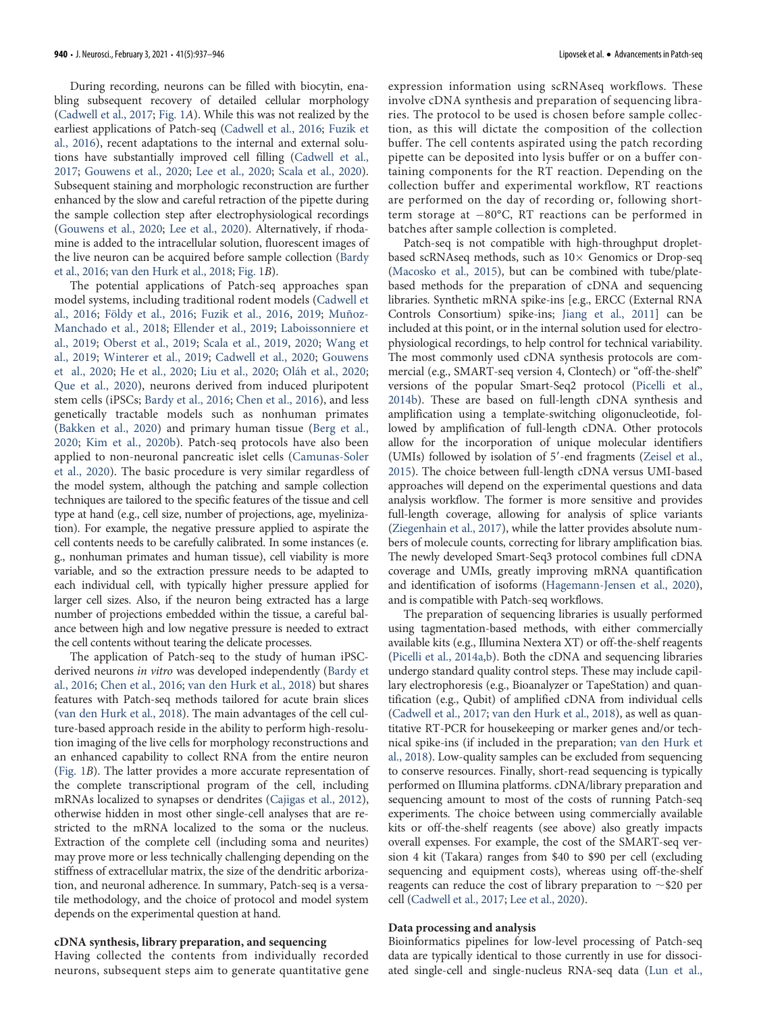During recording, neurons can be filled with biocytin, enabling subsequent recovery of detailed cellular morphology [\(Cadwell et al., 2017](#page-7-22); [Fig. 1](#page-1-0)A). While this was not realized by the earliest applications of Patch-seq ([Cadwell et al., 2016;](#page-7-16) [Fuzik et](#page-7-19) [al., 2016\)](#page-7-19), recent adaptations to the internal and external solutions have substantially improved cell filling ([Cadwell et al.,](#page-7-22) [2017;](#page-7-22) [Gouwens et al., 2020](#page-7-23); [Lee et al., 2020;](#page-8-18) [Scala et al., 2020\)](#page-8-22). Subsequent staining and morphologic reconstruction are further enhanced by the slow and careful retraction of the pipette during the sample collection step after electrophysiological recordings [\(Gouwens et al., 2020;](#page-7-23) [Lee et al., 2020\)](#page-8-18). Alternatively, if rhodamine is added to the intracellular solution, fluorescent images of the live neuron can be acquired before sample collection ([Bardy](#page-7-15) [et al., 2016;](#page-7-15) [van den Hurk et al., 2018;](#page-9-14) [Fig. 1](#page-1-0)B).

The potential applications of Patch-seq approaches span model systems, including traditional rodent models ([Cadwell et](#page-7-16) [al., 2016;](#page-7-16) [Földy et al., 2016;](#page-7-18) [Fuzik et al., 2016](#page-7-19), [2019](#page-7-25); [Muñoz-](#page-8-25)[Manchado et al., 2018;](#page-8-25) [Ellender et al., 2019;](#page-7-24) [Laboissonniere et](#page-8-28) [al., 2019](#page-8-28); [Oberst et al., 2019;](#page-8-27) [Scala et al., 2019,](#page-8-21) [2020](#page-8-22); [Wang et](#page-9-16) [al., 2019;](#page-9-16) [Winterer et al., 2019](#page-9-17); [Cadwell et al., 2020;](#page-7-26) [Gouwens](#page-7-23) [et al., 2020;](#page-7-23) [He et al., 2020;](#page-7-27) [Liu et al., 2020](#page-8-30); [Oláh et al., 2020;](#page-8-31) [Que et al., 2020](#page-8-23)), neurons derived from induced pluripotent stem cells (iPSCs; [Bardy et al., 2016;](#page-7-15) [Chen et al., 2016\)](#page-7-17), and less genetically tractable models such as nonhuman primates [\(Bakken et al., 2020\)](#page-7-30) and primary human tissue ([Berg et al.,](#page-7-29) [2020](#page-7-29); [Kim et al., 2020b](#page-8-29)). Patch-seq protocols have also been applied to non-neuronal pancreatic islet cells [\(Camunas-Soler](#page-7-28) [et al., 2020\)](#page-7-28). The basic procedure is very similar regardless of the model system, although the patching and sample collection techniques are tailored to the specific features of the tissue and cell type at hand (e.g., cell size, number of projections, age, myelinization). For example, the negative pressure applied to aspirate the cell contents needs to be carefully calibrated. In some instances (e. g., nonhuman primates and human tissue), cell viability is more variable, and so the extraction pressure needs to be adapted to each individual cell, with typically higher pressure applied for larger cell sizes. Also, if the neuron being extracted has a large number of projections embedded within the tissue, a careful balance between high and low negative pressure is needed to extract the cell contents without tearing the delicate processes.

The application of Patch-seq to the study of human iPSCderived neurons in vitro was developed independently [\(Bardy et](#page-7-15) [al., 2016](#page-7-15); [Chen et al., 2016;](#page-7-17) [van den Hurk et al., 2018\)](#page-9-14) but shares features with Patch-seq methods tailored for acute brain slices [\(van den Hurk et al., 2018\)](#page-9-14). The main advantages of the cell culture-based approach reside in the ability to perform high-resolution imaging of the live cells for morphology reconstructions and an enhanced capability to collect RNA from the entire neuron [\(Fig. 1](#page-1-0)B). The latter provides a more accurate representation of the complete transcriptional program of the cell, including mRNAs localized to synapses or dendrites ([Cajigas et al., 2012\)](#page-7-31), otherwise hidden in most other single-cell analyses that are restricted to the mRNA localized to the soma or the nucleus. Extraction of the complete cell (including soma and neurites) may prove more or less technically challenging depending on the stiffness of extracellular matrix, the size of the dendritic arborization, and neuronal adherence. In summary, Patch-seq is a versatile methodology, and the choice of protocol and model system depends on the experimental question at hand.

#### cDNA synthesis, library preparation, and sequencing

Having collected the contents from individually recorded neurons, subsequent steps aim to generate quantitative gene expression information using scRNAseq workflows. These involve cDNA synthesis and preparation of sequencing libraries. The protocol to be used is chosen before sample collection, as this will dictate the composition of the collection buffer. The cell contents aspirated using the patch recording pipette can be deposited into lysis buffer or on a buffer containing components for the RT reaction. Depending on the collection buffer and experimental workflow, RT reactions are performed on the day of recording or, following shortterm storage at  $-80^{\circ}$ C, RT reactions can be performed in batches after sample collection is completed.

Patch-seq is not compatible with high-throughput dropletbased scRNAseq methods, such as  $10\times$  Genomics or Drop-seq [\(Macosko et al., 2015](#page-8-32)), but can be combined with tube/platebased methods for the preparation of cDNA and sequencing libraries. Synthetic mRNA spike-ins [e.g., ERCC (External RNA Controls Consortium) spike-ins; [Jiang et al., 2011](#page-8-33)] can be included at this point, or in the internal solution used for electrophysiological recordings, to help control for technical variability. The most commonly used cDNA synthesis protocols are commercial (e.g., SMART-seq version 4, Clontech) or "off-the-shelf" versions of the popular Smart-Seq2 protocol ([Picelli et al.,](#page-8-16) [2014b\)](#page-8-16). These are based on full-length cDNA synthesis and amplification using a template-switching oligonucleotide, followed by amplification of full-length cDNA. Other protocols allow for the incorporation of unique molecular identifiers (UMIs) followed by isolation of 5'-end fragments [\(Zeisel et al.,](#page-9-1) [2015\)](#page-9-1). The choice between full-length cDNA versus UMI-based approaches will depend on the experimental questions and data analysis workflow. The former is more sensitive and provides full-length coverage, allowing for analysis of splice variants [\(Ziegenhain et al., 2017\)](#page-9-18), while the latter provides absolute numbers of molecule counts, correcting for library amplification bias. The newly developed Smart-Seq3 protocol combines full cDNA coverage and UMIs, greatly improving mRNA quantification and identification of isoforms [\(Hagemann-Jensen et al., 2020\)](#page-7-32), and is compatible with Patch-seq workflows.

The preparation of sequencing libraries is usually performed using tagmentation-based methods, with either commercially available kits (e.g., Illumina Nextera XT) or off-the-shelf reagents [\(Picelli et al., 2014a,](#page-8-34)[b\)](#page-8-16). Both the cDNA and sequencing libraries undergo standard quality control steps. These may include capillary electrophoresis (e.g., Bioanalyzer or TapeStation) and quantification (e.g., Qubit) of amplified cDNA from individual cells [\(Cadwell et al., 2017;](#page-7-22) [van den Hurk et al., 2018\)](#page-9-14), as well as quantitative RT-PCR for housekeeping or marker genes and/or technical spike-ins (if included in the preparation; [van den Hurk et](#page-9-14) [al., 2018\)](#page-9-14). Low-quality samples can be excluded from sequencing to conserve resources. Finally, short-read sequencing is typically performed on Illumina platforms. cDNA/library preparation and sequencing amount to most of the costs of running Patch-seq experiments. The choice between using commercially available kits or off-the-shelf reagents (see above) also greatly impacts overall expenses. For example, the cost of the SMART-seq version 4 kit (Takara) ranges from \$40 to \$90 per cell (excluding sequencing and equipment costs), whereas using off-the-shelf reagents can reduce the cost of library preparation to  $\sim$ \$20 per cell ([Cadwell et al., 2017;](#page-7-22) [Lee et al., 2020\)](#page-8-18).

#### Data processing and analysis

Bioinformatics pipelines for low-level processing of Patch-seq data are typically identical to those currently in use for dissociated single-cell and single-nucleus RNA-seq data ([Lun et al.,](#page-8-35)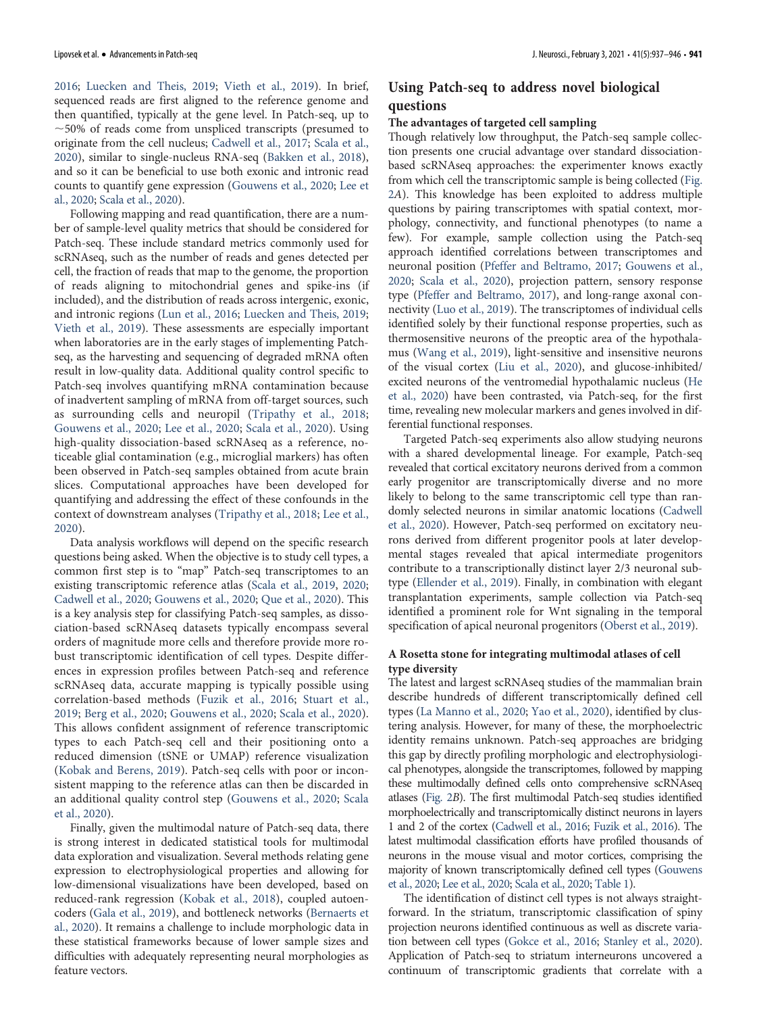[2016;](#page-8-35) [Luecken and Theis, 2019;](#page-8-36) [Vieth et al., 2019\)](#page-9-19). In brief, sequenced reads are first aligned to the reference genome and then quantified, typically at the gene level. In Patch-seq, up to  $\sim$  50% of reads come from unspliced transcripts (presumed to originate from the cell nucleus; [Cadwell et al., 2017;](#page-7-22) [Scala et al.,](#page-8-22) [2020\)](#page-8-22), similar to single-nucleus RNA-seq ([Bakken et al., 2018\)](#page-7-33), and so it can be beneficial to use both exonic and intronic read counts to quantify gene expression [\(Gouwens et al., 2020;](#page-7-23) [Lee et](#page-8-18) [al., 2020;](#page-8-18) [Scala et al., 2020](#page-8-22)).

Following mapping and read quantification, there are a number of sample-level quality metrics that should be considered for Patch-seq. These include standard metrics commonly used for scRNAseq, such as the number of reads and genes detected per cell, the fraction of reads that map to the genome, the proportion of reads aligning to mitochondrial genes and spike-ins (if included), and the distribution of reads across intergenic, exonic, and intronic regions [\(Lun et al., 2016;](#page-8-35) [Luecken and Theis, 2019;](#page-8-36) [Vieth et al., 2019](#page-9-19)). These assessments are especially important when laboratories are in the early stages of implementing Patchseq, as the harvesting and sequencing of degraded mRNA often result in low-quality data. Additional quality control specific to Patch-seq involves quantifying mRNA contamination because of inadvertent sampling of mRNA from off-target sources, such as surrounding cells and neuropil ([Tripathy et al., 2018;](#page-9-20) [Gouwens et al., 2020;](#page-7-23) [Lee et al., 2020](#page-8-18); [Scala et al., 2020](#page-8-22)). Using high-quality dissociation-based scRNAseq as a reference, noticeable glial contamination (e.g., microglial markers) has often been observed in Patch-seq samples obtained from acute brain slices. Computational approaches have been developed for quantifying and addressing the effect of these confounds in the context of downstream analyses ([Tripathy et al., 2018](#page-9-20); [Lee et al.,](#page-8-18) [2020](#page-8-18)).

Data analysis workflows will depend on the specific research questions being asked. When the objective is to study cell types, a common first step is to "map" Patch-seq transcriptomes to an existing transcriptomic reference atlas [\(Scala et al., 2019](#page-8-21), [2020;](#page-8-22) [Cadwell et al., 2020;](#page-7-26) [Gouwens et al., 2020](#page-7-23); [Que et al., 2020\)](#page-8-23). This is a key analysis step for classifying Patch-seq samples, as dissociation-based scRNAseq datasets typically encompass several orders of magnitude more cells and therefore provide more robust transcriptomic identification of cell types. Despite differences in expression profiles between Patch-seq and reference scRNAseq data, accurate mapping is typically possible using correlation-based methods [\(Fuzik et al., 2016](#page-7-19); [Stuart et al.,](#page-9-21) [2019](#page-9-21); [Berg et al., 2020;](#page-7-29) [Gouwens et al., 2020](#page-7-23); [Scala et al., 2020\)](#page-8-22). This allows confident assignment of reference transcriptomic types to each Patch-seq cell and their positioning onto a reduced dimension (tSNE or UMAP) reference visualization [\(Kobak and Berens, 2019\)](#page-8-37). Patch-seq cells with poor or inconsistent mapping to the reference atlas can then be discarded in an additional quality control step ([Gouwens et al., 2020](#page-7-23); [Scala](#page-8-22) [et al., 2020\)](#page-8-22).

Finally, given the multimodal nature of Patch-seq data, there is strong interest in dedicated statistical tools for multimodal data exploration and visualization. Several methods relating gene expression to electrophysiological properties and allowing for low-dimensional visualizations have been developed, based on reduced-rank regression ([Kobak et al., 2018](#page-8-17)), coupled autoencoders [\(Gala et al., 2019\)](#page-7-20), and bottleneck networks ([Bernaerts et](#page-7-21) [al., 2020](#page-7-21)). It remains a challenge to include morphologic data in these statistical frameworks because of lower sample sizes and difficulties with adequately representing neural morphologies as feature vectors.

# Using Patch-seq to address novel biological questions

# The advantages of targeted cell sampling

Though relatively low throughput, the Patch-seq sample collection presents one crucial advantage over standard dissociationbased scRNAseq approaches: the experimenter knows exactly from which cell the transcriptomic sample is being collected [\(Fig.](#page-5-0) [2](#page-5-0)A). This knowledge has been exploited to address multiple questions by pairing transcriptomes with spatial context, morphology, connectivity, and functional phenotypes (to name a few). For example, sample collection using the Patch-seq approach identified correlations between transcriptomes and neuronal position [\(Pfeffer and Beltramo, 2017;](#page-8-24) [Gouwens et al.,](#page-7-23) [2020;](#page-7-23) [Scala et al., 2020\)](#page-8-22), projection pattern, sensory response type ([Pfeffer and Beltramo, 2017\)](#page-8-24), and long-range axonal connectivity [\(Luo et al., 2019](#page-8-26)). The transcriptomes of individual cells identified solely by their functional response properties, such as thermosensitive neurons of the preoptic area of the hypothalamus [\(Wang et al., 2019](#page-9-16)), light-sensitive and insensitive neurons of the visual cortex [\(Liu et al., 2020\)](#page-8-30), and glucose-inhibited/ excited neurons of the ventromedial hypothalamic nucleus ([He](#page-7-27) [et al., 2020\)](#page-7-27) have been contrasted, via Patch-seq, for the first time, revealing new molecular markers and genes involved in differential functional responses.

Targeted Patch-seq experiments also allow studying neurons with a shared developmental lineage. For example, Patch-seq revealed that cortical excitatory neurons derived from a common early progenitor are transcriptomically diverse and no more likely to belong to the same transcriptomic cell type than randomly selected neurons in similar anatomic locations ([Cadwell](#page-7-26) [et al., 2020\)](#page-7-26). However, Patch-seq performed on excitatory neurons derived from different progenitor pools at later developmental stages revealed that apical intermediate progenitors contribute to a transcriptionally distinct layer 2/3 neuronal subtype [\(Ellender et al., 2019](#page-7-24)). Finally, in combination with elegant transplantation experiments, sample collection via Patch-seq identified a prominent role for Wnt signaling in the temporal specification of apical neuronal progenitors [\(Oberst et al., 2019](#page-8-27)).

# A Rosetta stone for integrating multimodal atlases of cell type diversity

The latest and largest scRNAseq studies of the mammalian brain describe hundreds of different transcriptomically defined cell types ([La Manno et al., 2020](#page-8-38); [Yao et al., 2020\)](#page-9-22), identified by clustering analysis. However, for many of these, the morphoelectric identity remains unknown. Patch-seq approaches are bridging this gap by directly profiling morphologic and electrophysiological phenotypes, alongside the transcriptomes, followed by mapping these multimodally defined cells onto comprehensive scRNAseq atlases [\(Fig. 2](#page-5-0)B). The first multimodal Patch-seq studies identified morphoelectrically and transcriptomically distinct neurons in layers 1 and 2 of the cortex [\(Cadwell et al., 2016;](#page-7-16) [Fuzik et al., 2016\)](#page-7-19). The latest multimodal classification efforts have profiled thousands of neurons in the mouse visual and motor cortices, comprising the majority of known transcriptomically defined cell types [\(Gouwens](#page-7-23) [et al., 2020;](#page-7-23) [Lee et al., 2020;](#page-8-18) [Scala et al., 2020;](#page-8-22) [Table 1](#page-2-0)).

The identification of distinct cell types is not always straightforward. In the striatum, transcriptomic classification of spiny projection neurons identified continuous as well as discrete variation between cell types [\(Gokce et al., 2016](#page-7-5); [Stanley et al., 2020\)](#page-9-5). Application of Patch-seq to striatum interneurons uncovered a continuum of transcriptomic gradients that correlate with a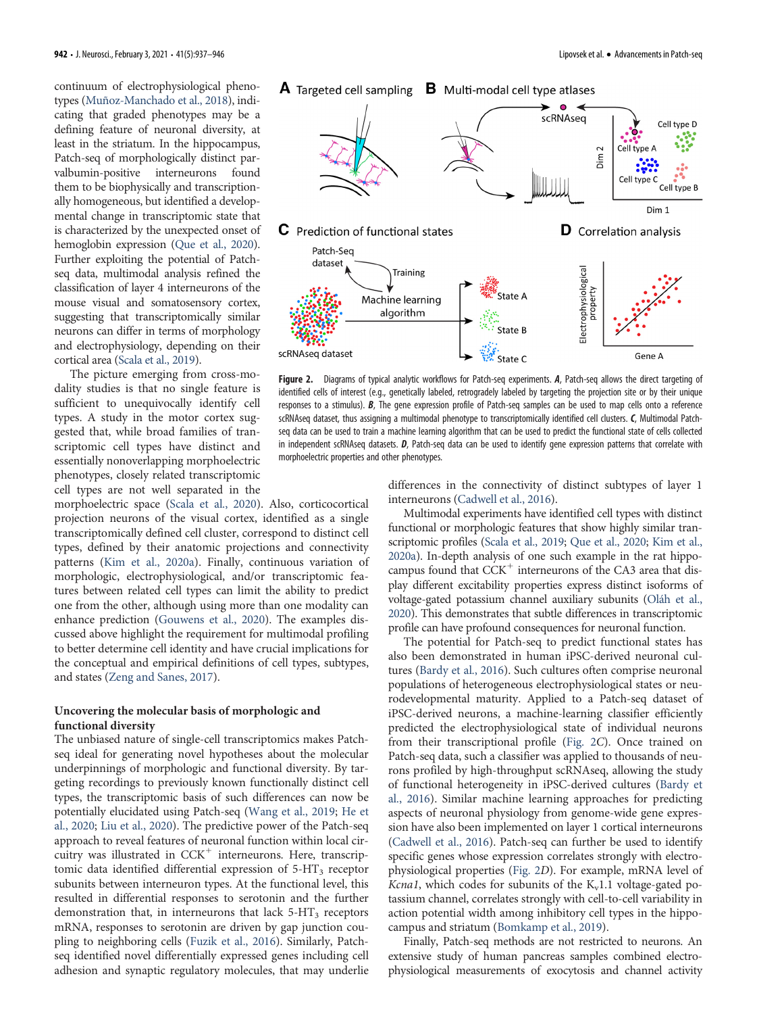continuum of electrophysiological phenotypes [\(Muñoz-Manchado et al., 2018](#page-8-25)), indicating that graded phenotypes may be a defining feature of neuronal diversity, at least in the striatum. In the hippocampus, Patch-seq of morphologically distinct parvalbumin-positive interneurons found them to be biophysically and transcriptionally homogeneous, but identified a developmental change in transcriptomic state that is characterized by the unexpected onset of hemoglobin expression [\(Que et al., 2020\)](#page-8-23). Further exploiting the potential of Patchseq data, multimodal analysis refined the classification of layer 4 interneurons of the mouse visual and somatosensory cortex, suggesting that transcriptomically similar neurons can differ in terms of morphology and electrophysiology, depending on their cortical area ([Scala et al., 2019\)](#page-8-21).

The picture emerging from cross-modality studies is that no single feature is sufficient to unequivocally identify cell types. A study in the motor cortex suggested that, while broad families of transcriptomic cell types have distinct and essentially nonoverlapping morphoelectric phenotypes, closely related transcriptomic cell types are not well separated in the

morphoelectric space [\(Scala et al., 2020](#page-8-22)). Also, corticocortical projection neurons of the visual cortex, identified as a single transcriptomically defined cell cluster, correspond to distinct cell types, defined by their anatomic projections and connectivity patterns [\(Kim et al., 2020a](#page-8-39)). Finally, continuous variation of morphologic, electrophysiological, and/or transcriptomic features between related cell types can limit the ability to predict one from the other, although using more than one modality can enhance prediction ([Gouwens et al., 2020\)](#page-7-23). The examples discussed above highlight the requirement for multimodal profiling to better determine cell identity and have crucial implications for the conceptual and empirical definitions of cell types, subtypes, and states [\(Zeng and Sanes, 2017\)](#page-9-8).

# Uncovering the molecular basis of morphologic and functional diversity

The unbiased nature of single-cell transcriptomics makes Patchseq ideal for generating novel hypotheses about the molecular underpinnings of morphologic and functional diversity. By targeting recordings to previously known functionally distinct cell types, the transcriptomic basis of such differences can now be potentially elucidated using Patch-seq [\(Wang et al., 2019;](#page-9-16) [He et](#page-7-27) [al., 2020](#page-7-27); [Liu et al., 2020](#page-8-30)). The predictive power of the Patch-seq approach to reveal features of neuronal function within local circuitry was illustrated in  $CCK^+$  interneurons. Here, transcriptomic data identified differential expression of  $5-HT<sub>3</sub>$  receptor subunits between interneuron types. At the functional level, this resulted in differential responses to serotonin and the further demonstration that, in interneurons that lack  $5-HT<sub>3</sub>$  receptors mRNA, responses to serotonin are driven by gap junction coupling to neighboring cells ([Fuzik et al., 2016](#page-7-19)). Similarly, Patchseq identified novel differentially expressed genes including cell adhesion and synaptic regulatory molecules, that may underlie



<span id="page-5-0"></span>Figure 2. Diagrams of typical analytic workflows for Patch-seq experiments. A, Patch-seq allows the direct targeting of identified cells of interest (e.g., genetically labeled, retrogradely labeled by targeting the projection site or by their unique responses to a stimulus). B, The gene expression profile of Patch-seq samples can be used to map cells onto a reference scRNAseq dataset, thus assigning a multimodal phenotype to transcriptomically identified cell clusters. C, Multimodal Patchseq data can be used to train a machine learning algorithm that can be used to predict the functional state of cells collected in independent scRNAseq datasets. D, Patch-seq data can be used to identify gene expression patterns that correlate with morphoelectric properties and other phenotypes.

differences in the connectivity of distinct subtypes of layer 1 interneurons ([Cadwell et al., 2016\)](#page-7-16).

Multimodal experiments have identified cell types with distinct functional or morphologic features that show highly similar transcriptomic profiles ([Scala et al., 2019;](#page-8-21) [Que et al., 2020](#page-8-23); [Kim et al.,](#page-8-39) [2020a\)](#page-8-39). In-depth analysis of one such example in the rat hippocampus found that  $CCK^+$  interneurons of the CA3 area that display different excitability properties express distinct isoforms of voltage-gated potassium channel auxiliary subunits [\(Oláh et al.,](#page-8-31) [2020\)](#page-8-31). This demonstrates that subtle differences in transcriptomic profile can have profound consequences for neuronal function.

The potential for Patch-seq to predict functional states has also been demonstrated in human iPSC-derived neuronal cultures [\(Bardy et al., 2016](#page-7-15)). Such cultures often comprise neuronal populations of heterogeneous electrophysiological states or neurodevelopmental maturity. Applied to a Patch-seq dataset of iPSC-derived neurons, a machine-learning classifier efficiently predicted the electrophysiological state of individual neurons from their transcriptional profile ([Fig. 2](#page-5-0)C). Once trained on Patch-seq data, such a classifier was applied to thousands of neurons profiled by high-throughput scRNAseq, allowing the study of functional heterogeneity in iPSC-derived cultures [\(Bardy et](#page-7-15) [al., 2016\)](#page-7-15). Similar machine learning approaches for predicting aspects of neuronal physiology from genome-wide gene expression have also been implemented on layer 1 cortical interneurons [\(Cadwell et al., 2016\)](#page-7-16). Patch-seq can further be used to identify specific genes whose expression correlates strongly with electrophysiological properties [\(Fig. 2](#page-5-0)D). For example, mRNA level of *Kcna1*, which codes for subunits of the  $K_v1.1$  voltage-gated potassium channel, correlates strongly with cell-to-cell variability in action potential width among inhibitory cell types in the hippocampus and striatum [\(Bomkamp et al., 2019](#page-7-34)).

Finally, Patch-seq methods are not restricted to neurons. An extensive study of human pancreas samples combined electrophysiological measurements of exocytosis and channel activity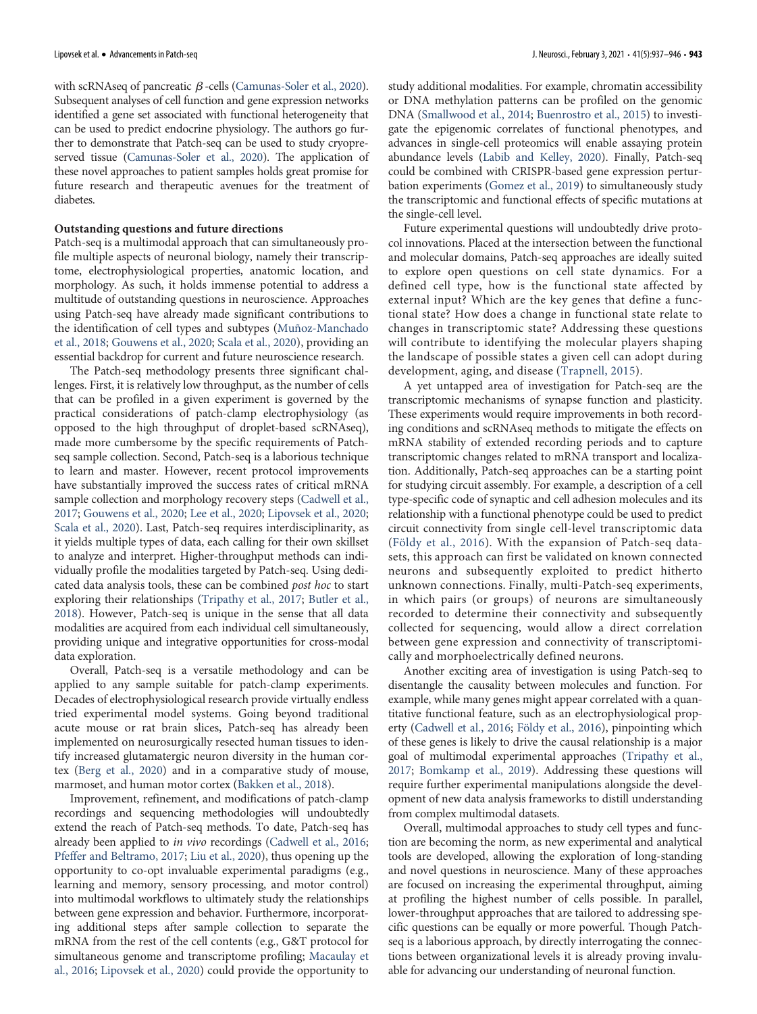with scRNAseq of pancreatic  $\beta$ -cells [\(Camunas-Soler et al., 2020\)](#page-7-28). Subsequent analyses of cell function and gene expression networks identified a gene set associated with functional heterogeneity that can be used to predict endocrine physiology. The authors go further to demonstrate that Patch-seq can be used to study cryopreserved tissue [\(Camunas-Soler et al., 2020](#page-7-28)). The application of these novel approaches to patient samples holds great promise for future research and therapeutic avenues for the treatment of diabetes.

#### Outstanding questions and future directions

Patch-seq is a multimodal approach that can simultaneously profile multiple aspects of neuronal biology, namely their transcriptome, electrophysiological properties, anatomic location, and morphology. As such, it holds immense potential to address a multitude of outstanding questions in neuroscience. Approaches using Patch-seq have already made significant contributions to the identification of cell types and subtypes [\(Muñoz-Manchado](#page-8-25) [et al., 2018;](#page-8-25) [Gouwens et al., 2020;](#page-7-23) [Scala et al., 2020](#page-8-22)), providing an essential backdrop for current and future neuroscience research.

The Patch-seq methodology presents three significant challenges. First, it is relatively low throughput, as the number of cells that can be profiled in a given experiment is governed by the practical considerations of patch-clamp electrophysiology (as opposed to the high throughput of droplet-based scRNAseq), made more cumbersome by the specific requirements of Patchseq sample collection. Second, Patch-seq is a laborious technique to learn and master. However, recent protocol improvements have substantially improved the success rates of critical mRNA sample collection and morphology recovery steps ([Cadwell et al.,](#page-7-22) [2017;](#page-7-22) [Gouwens et al., 2020](#page-7-23); [Lee et al., 2020](#page-8-18); [Lipovsek et al., 2020;](#page-8-19) [Scala et al., 2020\)](#page-8-22). Last, Patch-seq requires interdisciplinarity, as it yields multiple types of data, each calling for their own skillset to analyze and interpret. Higher-throughput methods can individually profile the modalities targeted by Patch-seq. Using dedicated data analysis tools, these can be combined post hoc to start exploring their relationships ([Tripathy et al., 2017](#page-9-23); [Butler et al.,](#page-7-35) [2018\)](#page-7-35). However, Patch-seq is unique in the sense that all data modalities are acquired from each individual cell simultaneously, providing unique and integrative opportunities for cross-modal data exploration.

Overall, Patch-seq is a versatile methodology and can be applied to any sample suitable for patch-clamp experiments. Decades of electrophysiological research provide virtually endless tried experimental model systems. Going beyond traditional acute mouse or rat brain slices, Patch-seq has already been implemented on neurosurgically resected human tissues to identify increased glutamatergic neuron diversity in the human cortex ([Berg et al., 2020\)](#page-7-29) and in a comparative study of mouse, marmoset, and human motor cortex ([Bakken et al., 2018](#page-7-33)).

Improvement, refinement, and modifications of patch-clamp recordings and sequencing methodologies will undoubtedly extend the reach of Patch-seq methods. To date, Patch-seq has already been applied to in vivo recordings [\(Cadwell et al., 2016;](#page-7-16) [Pfeffer and Beltramo, 2017;](#page-8-24) [Liu et al., 2020\)](#page-8-30), thus opening up the opportunity to co-opt invaluable experimental paradigms (e.g., learning and memory, sensory processing, and motor control) into multimodal workflows to ultimately study the relationships between gene expression and behavior. Furthermore, incorporating additional steps after sample collection to separate the mRNA from the rest of the cell contents (e.g., G&T protocol for simultaneous genome and transcriptome profiling; [Macaulay et](#page-8-40) [al., 2016](#page-8-40); [Lipovsek et al., 2020](#page-8-19)) could provide the opportunity to

study additional modalities. For example, chromatin accessibility or DNA methylation patterns can be profiled on the genomic DNA [\(Smallwood et al., 2014](#page-9-24); [Buenrostro et al., 2015](#page-7-36)) to investigate the epigenomic correlates of functional phenotypes, and advances in single-cell proteomics will enable assaying protein abundance levels [\(Labib and Kelley, 2020\)](#page-8-41). Finally, Patch-seq could be combined with CRISPR-based gene expression perturbation experiments [\(Gomez et al., 2019\)](#page-7-37) to simultaneously study the transcriptomic and functional effects of specific mutations at the single-cell level.

Future experimental questions will undoubtedly drive protocol innovations. Placed at the intersection between the functional and molecular domains, Patch-seq approaches are ideally suited to explore open questions on cell state dynamics. For a defined cell type, how is the functional state affected by external input? Which are the key genes that define a functional state? How does a change in functional state relate to changes in transcriptomic state? Addressing these questions will contribute to identifying the molecular players shaping the landscape of possible states a given cell can adopt during development, aging, and disease [\(Trapnell, 2015](#page-9-25)).

A yet untapped area of investigation for Patch-seq are the transcriptomic mechanisms of synapse function and plasticity. These experiments would require improvements in both recording conditions and scRNAseq methods to mitigate the effects on mRNA stability of extended recording periods and to capture transcriptomic changes related to mRNA transport and localization. Additionally, Patch-seq approaches can be a starting point for studying circuit assembly. For example, a description of a cell type-specific code of synaptic and cell adhesion molecules and its relationship with a functional phenotype could be used to predict circuit connectivity from single cell-level transcriptomic data [\(Földy et al., 2016\)](#page-7-18). With the expansion of Patch-seq datasets, this approach can first be validated on known connected neurons and subsequently exploited to predict hitherto unknown connections. Finally, multi-Patch-seq experiments, in which pairs (or groups) of neurons are simultaneously recorded to determine their connectivity and subsequently collected for sequencing, would allow a direct correlation between gene expression and connectivity of transcriptomically and morphoelectrically defined neurons.

Another exciting area of investigation is using Patch-seq to disentangle the causality between molecules and function. For example, while many genes might appear correlated with a quantitative functional feature, such as an electrophysiological property ([Cadwell et al., 2016;](#page-7-16) [Földy et al., 2016\)](#page-7-18), pinpointing which of these genes is likely to drive the causal relationship is a major goal of multimodal experimental approaches [\(Tripathy et al.,](#page-9-23) [2017;](#page-9-23) [Bomkamp et al., 2019\)](#page-7-34). Addressing these questions will require further experimental manipulations alongside the development of new data analysis frameworks to distill understanding from complex multimodal datasets.

Overall, multimodal approaches to study cell types and function are becoming the norm, as new experimental and analytical tools are developed, allowing the exploration of long-standing and novel questions in neuroscience. Many of these approaches are focused on increasing the experimental throughput, aiming at profiling the highest number of cells possible. In parallel, lower-throughput approaches that are tailored to addressing specific questions can be equally or more powerful. Though Patchseq is a laborious approach, by directly interrogating the connections between organizational levels it is already proving invaluable for advancing our understanding of neuronal function.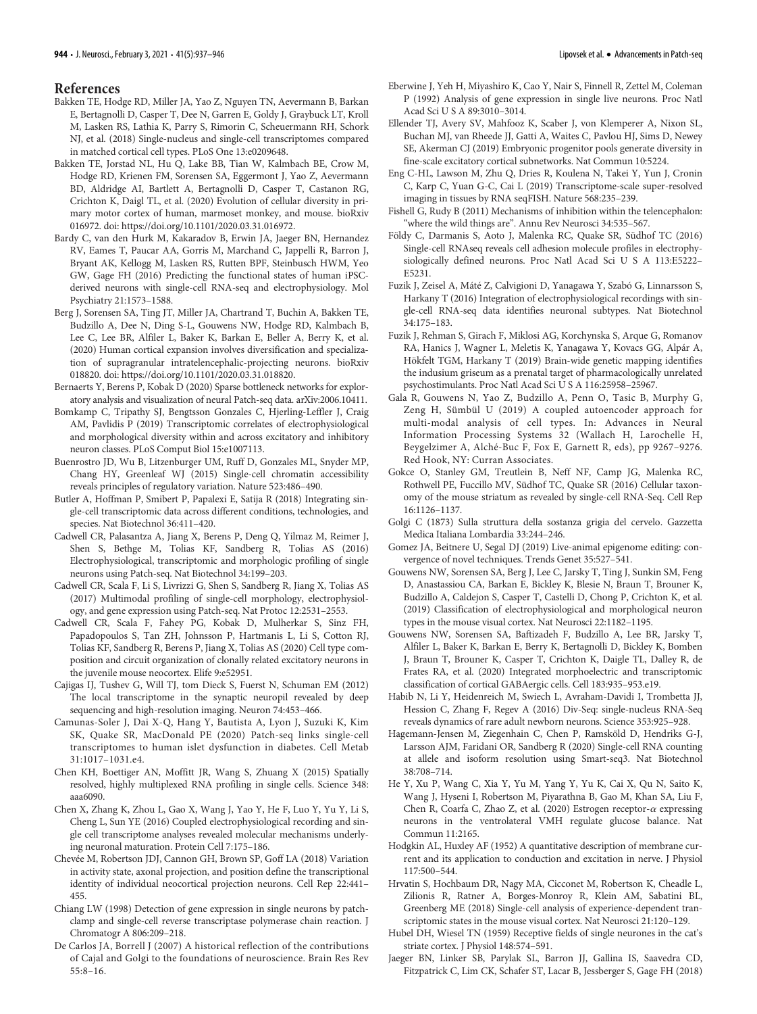# References

- <span id="page-7-33"></span>Bakken TE, Hodge RD, Miller JA, Yao Z, Nguyen TN, Aevermann B, Barkan E, Bertagnolli D, Casper T, Dee N, Garren E, Goldy J, Graybuck LT, Kroll M, Lasken RS, Lathia K, Parry S, Rimorin C, Scheuermann RH, Schork NJ, et al. (2018) Single-nucleus and single-cell transcriptomes compared in matched cortical cell types. PLoS One 13:e0209648.
- <span id="page-7-30"></span>Bakken TE, Jorstad NL, Hu Q, Lake BB, Tian W, Kalmbach BE, Crow M, Hodge RD, Krienen FM, Sorensen SA, Eggermont J, Yao Z, Aevermann BD, Aldridge AI, Bartlett A, Bertagnolli D, Casper T, Castanon RG, Crichton K, Daigl TL, et al. (2020) Evolution of cellular diversity in primary motor cortex of human, marmoset monkey, and mouse. bioRxiv 016972. doi: https://doi.org/10.1101/2020.03.31.016972.
- <span id="page-7-15"></span>Bardy C, van den Hurk M, Kakaradov B, Erwin JA, Jaeger BN, Hernandez RV, Eames T, Paucar AA, Gorris M, Marchand C, Jappelli R, Barron J, Bryant AK, Kellogg M, Lasken RS, Rutten BPF, Steinbusch HWM, Yeo GW, Gage FH (2016) Predicting the functional states of human iPSCderived neurons with single-cell RNA-seq and electrophysiology. Mol Psychiatry 21:1573–1588.
- <span id="page-7-29"></span>Berg J, Sorensen SA, Ting JT, Miller JA, Chartrand T, Buchin A, Bakken TE, Budzillo A, Dee N, Ding S-L, Gouwens NW, Hodge RD, Kalmbach B, Lee C, Lee BR, Alfiler L, Baker K, Barkan E, Beller A, Berry K, et al. (2020) Human cortical expansion involves diversification and specialization of supragranular intratelencephalic-projecting neurons. bioRxiv 018820. doi: https://doi.org/10.1101/2020.03.31.018820.
- <span id="page-7-21"></span>Bernaerts Y, Berens P, Kobak D (2020) Sparse bottleneck networks for exploratory analysis and visualization of neural Patch-seq data. arXiv:2006.10411.
- <span id="page-7-34"></span>Bomkamp C, Tripathy SJ, Bengtsson Gonzales C, Hjerling-Leffler J, Craig AM, Pavlidis P (2019) Transcriptomic correlates of electrophysiological and morphological diversity within and across excitatory and inhibitory neuron classes. PLoS Comput Biol 15:e1007113.
- <span id="page-7-36"></span>Buenrostro JD, Wu B, Litzenburger UM, Ruff D, Gonzales ML, Snyder MP, Chang HY, Greenleaf WJ (2015) Single-cell chromatin accessibility reveals principles of regulatory variation. Nature 523:486–490.
- <span id="page-7-35"></span>Butler A, Hoffman P, Smibert P, Papalexi E, Satija R (2018) Integrating single-cell transcriptomic data across different conditions, technologies, and species. Nat Biotechnol 36:411–420.
- <span id="page-7-16"></span>Cadwell CR, Palasantza A, Jiang X, Berens P, Deng Q, Yilmaz M, Reimer J, Shen S, Bethge M, Tolias KF, Sandberg R, Tolias AS (2016) Electrophysiological, transcriptomic and morphologic profiling of single neurons using Patch-seq. Nat Biotechnol 34:199–203.
- <span id="page-7-22"></span>Cadwell CR, Scala F, Li S, Livrizzi G, Shen S, Sandberg R, Jiang X, Tolias AS (2017) Multimodal profiling of single-cell morphology, electrophysiology, and gene expression using Patch-seq. Nat Protoc 12:2531–2553.
- <span id="page-7-26"></span>Cadwell CR, Scala F, Fahey PG, Kobak D, Mulherkar S, Sinz FH, Papadopoulos S, Tan ZH, Johnsson P, Hartmanis L, Li S, Cotton RJ, Tolias KF, Sandberg R, Berens P, Jiang X, Tolias AS (2020) Cell type composition and circuit organization of clonally related excitatory neurons in the juvenile mouse neocortex. Elife 9:e52951.
- <span id="page-7-31"></span>Cajigas IJ, Tushev G, Will TJ, tom Dieck S, Fuerst N, Schuman EM (2012) The local transcriptome in the synaptic neuropil revealed by deep sequencing and high-resolution imaging. Neuron 74:453–466.
- <span id="page-7-28"></span>Camunas-Soler J, Dai X-Q, Hang Y, Bautista A, Lyon J, Suzuki K, Kim SK, Quake SR, MacDonald PE (2020) Patch-seq links single-cell transcriptomes to human islet dysfunction in diabetes. Cell Metab 31:1017–1031.e4.
- <span id="page-7-10"></span>Chen KH, Boettiger AN, Moffitt JR, Wang S, Zhuang X (2015) Spatially resolved, highly multiplexed RNA profiling in single cells. Science 348: aaa6090.
- <span id="page-7-17"></span>Chen X, Zhang K, Zhou L, Gao X, Wang J, Yao Y, He F, Luo Y, Yu Y, Li S, Cheng L, Sun YE (2016) Coupled electrophysiological recording and single cell transcriptome analyses revealed molecular mechanisms underlying neuronal maturation. Protein Cell 7:175–186.
- <span id="page-7-7"></span>Chevée M, Robertson JDJ, Cannon GH, Brown SP, Goff LA (2018) Variation in activity state, axonal projection, and position define the transcriptional identity of individual neocortical projection neurons. Cell Rep 22:441– 455.
- <span id="page-7-14"></span>Chiang LW (1998) Detection of gene expression in single neurons by patchclamp and single-cell reverse transcriptase polymerase chain reaction. J Chromatogr A 806:209–218.
- <span id="page-7-1"></span>De Carlos JA, Borrell J (2007) A historical reflection of the contributions of Cajal and Golgi to the foundations of neuroscience. Brain Res Rev 55:8–16.
- <span id="page-7-13"></span>Eberwine J, Yeh H, Miyashiro K, Cao Y, Nair S, Finnell R, Zettel M, Coleman P (1992) Analysis of gene expression in single live neurons. Proc Natl Acad Sci U S A 89:3010–3014.
- <span id="page-7-24"></span>Ellender TJ, Avery SV, Mahfooz K, Scaber J, von Klemperer A, Nixon SL, Buchan MJ, van Rheede JJ, Gatti A, Waites C, Pavlou HJ, Sims D, Newey SE, Akerman CJ (2019) Embryonic progenitor pools generate diversity in fine-scale excitatory cortical subnetworks. Nat Commun 10:5224.
- <span id="page-7-11"></span>Eng C-HL, Lawson M, Zhu Q, Dries R, Koulena N, Takei Y, Yun J, Cronin C, Karp C, Yuan G-C, Cai L (2019) Transcriptome-scale super-resolved imaging in tissues by RNA seqFISH. Nature 568:235–239.
- <span id="page-7-4"></span>Fishell G, Rudy B (2011) Mechanisms of inhibition within the telencephalon: "where the wild things are". Annu Rev Neurosci 34:535–567.
- <span id="page-7-18"></span>Földy C, Darmanis S, Aoto J, Malenka RC, Quake SR, Südhof TC (2016) Single-cell RNAseq reveals cell adhesion molecule profiles in electrophysiologically defined neurons. Proc Natl Acad Sci U S A 113:E5222– E5231.
- <span id="page-7-19"></span>Fuzik J, Zeisel A, Máté Z, Calvigioni D, Yanagawa Y, Szabó G, Linnarsson S, Harkany T (2016) Integration of electrophysiological recordings with single-cell RNA-seq data identifies neuronal subtypes. Nat Biotechnol 34:175–183.
- <span id="page-7-25"></span>Fuzik J, Rehman S, Girach F, Miklosi AG, Korchynska S, Arque G, Romanov RA, Hanics J, Wagner L, Meletis K, Yanagawa Y, Kovacs GG, Alpár A, Hökfelt TGM, Harkany T (2019) Brain-wide genetic mapping identifies the indusium griseum as a prenatal target of pharmacologically unrelated psychostimulants. Proc Natl Acad Sci U S A 116:25958–25967.
- <span id="page-7-20"></span>Gala R, Gouwens N, Yao Z, Budzillo A, Penn O, Tasic B, Murphy G, Zeng H, Sümbül U (2019) A coupled autoencoder approach for multi-modal analysis of cell types. In: Advances in Neural Information Processing Systems 32 (Wallach H, Larochelle H, Beygelzimer A, Alché-Buc F, Fox E, Garnett R, eds), pp 9267–9276. Red Hook, NY: Curran Associates.
- <span id="page-7-5"></span>Gokce O, Stanley GM, Treutlein B, Neff NF, Camp JG, Malenka RC, Rothwell PE, Fuccillo MV, Südhof TC, Quake SR (2016) Cellular taxonomy of the mouse striatum as revealed by single-cell RNA-Seq. Cell Rep 16:1126–1137.
- <span id="page-7-0"></span>Golgi C (1873) Sulla struttura della sostanza grigia del cervelo. Gazzetta Medica Italiana Lombardia 33:244–246.
- <span id="page-7-37"></span>Gomez JA, Beitnere U, Segal DJ (2019) Live-animal epigenome editing: convergence of novel techniques. Trends Genet 35:527–541.
- <span id="page-7-12"></span>Gouwens NW, Sorensen SA, Berg J, Lee C, Jarsky T, Ting J, Sunkin SM, Feng D, Anastassiou CA, Barkan E, Bickley K, Blesie N, Braun T, Brouner K, Budzillo A, Caldejon S, Casper T, Castelli D, Chong P, Crichton K, et al. (2019) Classification of electrophysiological and morphological neuron types in the mouse visual cortex. Nat Neurosci 22:1182–1195.
- <span id="page-7-23"></span>Gouwens NW, Sorensen SA, Baftizadeh F, Budzillo A, Lee BR, Jarsky T, Alfiler L, Baker K, Barkan E, Berry K, Bertagnolli D, Bickley K, Bomben J, Braun T, Brouner K, Casper T, Crichton K, Daigle TL, Dalley R, de Frates RA, et al. (2020) Integrated morphoelectric and transcriptomic classification of cortical GABAergic cells. Cell 183:935–953.e19.
- <span id="page-7-6"></span>Habib N, Li Y, Heidenreich M, Swiech L, Avraham-Davidi I, Trombetta JJ, Hession C, Zhang F, Regev A (2016) Div-Seq: single-nucleus RNA-Seq reveals dynamics of rare adult newborn neurons. Science 353:925–928.
- <span id="page-7-32"></span>Hagemann-Jensen M, Ziegenhain C, Chen P, Ramsköld D, Hendriks G-J, Larsson AJM, Faridani OR, Sandberg R (2020) Single-cell RNA counting at allele and isoform resolution using Smart-seq3. Nat Biotechnol 38:708–714.
- <span id="page-7-27"></span>He Y, Xu P, Wang C, Xia Y, Yu M, Yang Y, Yu K, Cai X, Qu N, Saito K, Wang J, Hyseni I, Robertson M, Piyarathna B, Gao M, Khan SA, Liu F, Chen R, Coarfa C, Zhao Z, et al. (2020) Estrogen receptor- $\alpha$  expressing neurons in the ventrolateral VMH regulate glucose balance. Nat Commun 11:2165.
- <span id="page-7-2"></span>Hodgkin AL, Huxley AF (1952) A quantitative description of membrane current and its application to conduction and excitation in nerve. J Physiol 117:500–544.
- <span id="page-7-8"></span>Hrvatin S, Hochbaum DR, Nagy MA, Cicconet M, Robertson K, Cheadle L, Zilionis R, Ratner A, Borges-Monroy R, Klein AM, Sabatini BL, Greenberg ME (2018) Single-cell analysis of experience-dependent transcriptomic states in the mouse visual cortex. Nat Neurosci 21:120–129.
- <span id="page-7-3"></span>Hubel DH, Wiesel TN (1959) Receptive fields of single neurones in the cat's striate cortex. J Physiol 148:574–591.
- <span id="page-7-9"></span>Jaeger BN, Linker SB, Parylak SL, Barron JJ, Gallina IS, Saavedra CD, Fitzpatrick C, Lim CK, Schafer ST, Lacar B, Jessberger S, Gage FH (2018)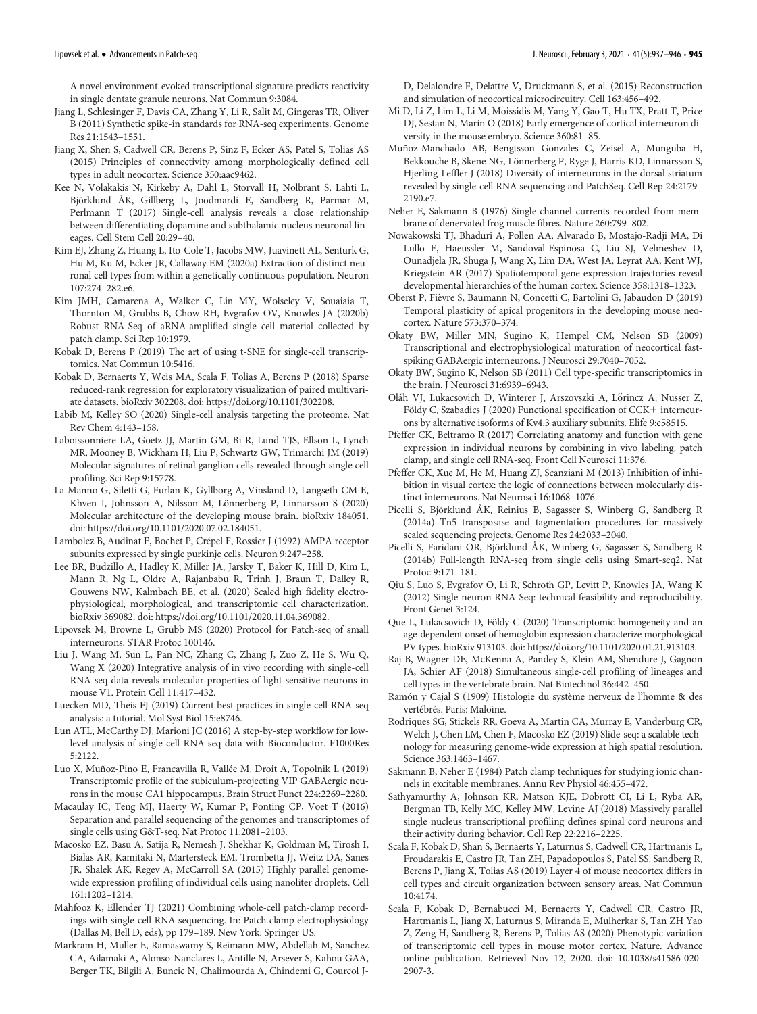A novel environment-evoked transcriptional signature predicts reactivity in single dentate granule neurons. Nat Commun 9:3084.

- <span id="page-8-33"></span>Jiang L, Schlesinger F, Davis CA, Zhang Y, Li R, Salit M, Gingeras TR, Oliver B (2011) Synthetic spike-in standards for RNA-seq experiments. Genome Res 21:1543–1551.
- <span id="page-8-11"></span>Jiang X, Shen S, Cadwell CR, Berens P, Sinz F, Ecker AS, Patel S, Tolias AS (2015) Principles of connectivity among morphologically defined cell types in adult neocortex. Science 350:aac9462.
- <span id="page-8-5"></span>Kee N, Volakakis N, Kirkeby A, Dahl L, Storvall H, Nolbrant S, Lahti L, Björklund ÅK, Gillberg L, Joodmardi E, Sandberg R, Parmar M, Perlmann T (2017) Single-cell analysis reveals a close relationship between differentiating dopamine and subthalamic nucleus neuronal lineages. Cell Stem Cell 20:29–40.
- <span id="page-8-39"></span>Kim EJ, Zhang Z, Huang L, Ito-Cole T, Jacobs MW, Juavinett AL, Senturk G, Hu M, Ku M, Ecker JR, Callaway EM (2020a) Extraction of distinct neuronal cell types from within a genetically continuous population. Neuron 107:274–282.e6.
- <span id="page-8-29"></span>Kim JMH, Camarena A, Walker C, Lin MY, Wolseley V, Souaiaia T, Thornton M, Grubbs B, Chow RH, Evgrafov OV, Knowles JA (2020b) Robust RNA-Seq of aRNA-amplified single cell material collected by patch clamp. Sci Rep 10:1979.
- <span id="page-8-37"></span>Kobak D, Berens P (2019) The art of using t-SNE for single-cell transcriptomics. Nat Commun 10:5416.
- <span id="page-8-17"></span>Kobak D, Bernaerts Y, Weis MA, Scala F, Tolias A, Berens P (2018) Sparse reduced-rank regression for exploratory visualization of paired multivariate datasets. bioRxiv 302208. doi: https://doi.org/10.1101/302208.
- <span id="page-8-41"></span>Labib M, Kelley SO (2020) Single-cell analysis targeting the proteome. Nat Rev Chem 4:143–158.
- <span id="page-8-28"></span>Laboissonniere LA, Goetz JJ, Martin GM, Bi R, Lund TJS, Ellson L, Lynch MR, Mooney B, Wickham H, Liu P, Schwartz GW, Trimarchi JM (2019) Molecular signatures of retinal ganglion cells revealed through single cell profiling. Sci Rep 9:15778.
- <span id="page-8-38"></span>La Manno G, Siletti G, Furlan K, Gyllborg A, Vinsland D, Langseth CM E, Khven I, Johnsson A, Nilsson M, Lönnerberg P, Linnarsson S (2020) Molecular architecture of the developing mouse brain. bioRxiv 184051. doi: https://doi.org/10.1101/2020.07.02.184051.
- <span id="page-8-13"></span>Lambolez B, Audinat E, Bochet P, Crépel F, Rossier J (1992) AMPA receptor subunits expressed by single purkinje cells. Neuron 9:247–258.
- <span id="page-8-18"></span>Lee BR, Budzillo A, Hadley K, Miller JA, Jarsky T, Baker K, Hill D, Kim L, Mann R, Ng L, Oldre A, Rajanbabu R, Trinh J, Braun T, Dalley R, Gouwens NW, Kalmbach BE, et al. (2020) Scaled high fidelity electrophysiological, morphological, and transcriptomic cell characterization. bioRxiv 369082. doi: https://doi.org/10.1101/2020.11.04.369082.
- <span id="page-8-19"></span>Lipovsek M, Browne L, Grubb MS (2020) Protocol for Patch-seq of small interneurons. STAR Protoc 100146.
- <span id="page-8-30"></span>Liu J, Wang M, Sun L, Pan NC, Zhang C, Zhang J, Zuo Z, He S, Wu Q, Wang X (2020) Integrative analysis of in vivo recording with single-cell RNA-seq data reveals molecular properties of light-sensitive neurons in mouse V1. Protein Cell 11:417–432.
- <span id="page-8-36"></span>Luecken MD, Theis FJ (2019) Current best practices in single-cell RNA-seq analysis: a tutorial. Mol Syst Biol 15:e8746.
- <span id="page-8-35"></span>Lun ATL, McCarthy DJ, Marioni JC (2016) A step-by-step workflow for lowlevel analysis of single-cell RNA-seq data with Bioconductor. F1000Res 5:2122.
- <span id="page-8-26"></span>Luo X, Muñoz-Pino E, Francavilla R, Vallée M, Droit A, Topolnik L (2019) Transcriptomic profile of the subiculum-projecting VIP GABAergic neurons in the mouse CA1 hippocampus. Brain Struct Funct 224:2269–2280.
- <span id="page-8-40"></span>Macaulay IC, Teng MJ, Haerty W, Kumar P, Ponting CP, Voet T (2016) Separation and parallel sequencing of the genomes and transcriptomes of single cells using G&T-seq. Nat Protoc 11:2081–2103.
- <span id="page-8-32"></span>Macosko EZ, Basu A, Satija R, Nemesh J, Shekhar K, Goldman M, Tirosh I, Bialas AR, Kamitaki N, Martersteck EM, Trombetta JJ, Weitz DA, Sanes JR, Shalek AK, Regev A, McCarroll SA (2015) Highly parallel genomewide expression profiling of individual cells using nanoliter droplets. Cell 161:1202–1214.
- <span id="page-8-20"></span>Mahfooz K, Ellender TJ (2021) Combining whole-cell patch-clamp recordings with single-cell RNA sequencing. In: Patch clamp electrophysiology (Dallas M, Bell D, eds), pp 179–189. New York: Springer US.
- <span id="page-8-12"></span>Markram H, Muller E, Ramaswamy S, Reimann MW, Abdellah M, Sanchez CA, Ailamaki A, Alonso-Nanclares L, Antille N, Arsever S, Kahou GAA, Berger TK, Bilgili A, Buncic N, Chalimourda A, Chindemi G, Courcol J-

D, Delalondre F, Delattre V, Druckmann S, et al. (2015) Reconstruction and simulation of neocortical microcircuitry. Cell 163:456–492.

- <span id="page-8-7"></span>Mi D, Li Z, Lim L, Li M, Moissidis M, Yang Y, Gao T, Hu TX, Pratt T, Price DJ, Sestan N, Marín O (2018) Early emergence of cortical interneuron diversity in the mouse embryo. Science 360:81–85.
- <span id="page-8-25"></span>Muñoz-Manchado AB, Bengtsson Gonzales C, Zeisel A, Munguba H, Bekkouche B, Skene NG, Lönnerberg P, Ryge J, Harris KD, Linnarsson S, Hjerling-Leffler J (2018) Diversity of interneurons in the dorsal striatum revealed by single-cell RNA sequencing and PatchSeq. Cell Rep 24:2179– 2190.e7.
- <span id="page-8-1"></span>Neher E, Sakmann B (1976) Single-channel currents recorded from membrane of denervated frog muscle fibres. Nature 260:799–802.
- <span id="page-8-6"></span>Nowakowski TJ, Bhaduri A, Pollen AA, Alvarado B, Mostajo-Radji MA, Di Lullo E, Haeussler M, Sandoval-Espinosa C, Liu SJ, Velmeshev D, Ounadjela JR, Shuga J, Wang X, Lim DA, West JA, Leyrat AA, Kent WJ, Kriegstein AR (2017) Spatiotemporal gene expression trajectories reveal developmental hierarchies of the human cortex. Science 358:1318–1323.
- <span id="page-8-27"></span>Oberst P, Fièvre S, Baumann N, Concetti C, Bartolini G, Jabaudon D (2019) Temporal plasticity of apical progenitors in the developing mouse neocortex. Nature 573:370–374.
- <span id="page-8-3"></span>Okaty BW, Miller MN, Sugino K, Hempel CM, Nelson SB (2009) Transcriptional and electrophysiological maturation of neocortical fastspiking GABAergic interneurons. J Neurosci 29:7040–7052.
- <span id="page-8-4"></span>Okaty BW, Sugino K, Nelson SB (2011) Cell type-specific transcriptomics in the brain. J Neurosci 31:6939–6943.
- <span id="page-8-31"></span>Oláh VJ, Lukacsovich D, Winterer J, Arszovszki A, Lőrincz A, Nusser Z, Földy C, Szabadics J (2020) Functional specification of CCK+ interneurons by alternative isoforms of Kv4.3 auxiliary subunits. Elife 9:e58515.
- <span id="page-8-24"></span>Pfeffer CK, Beltramo R (2017) Correlating anatomy and function with gene expression in individual neurons by combining in vivo labeling, patch clamp, and single cell RNA-seq. Front Cell Neurosci 11:376.
- <span id="page-8-14"></span>Pfeffer CK, Xue M, He M, Huang ZJ, Scanziani M (2013) Inhibition of inhibition in visual cortex: the logic of connections between molecularly distinct interneurons. Nat Neurosci 16:1068–1076.
- <span id="page-8-34"></span>Picelli S, Björklund ÅK, Reinius B, Sagasser S, Winberg G, Sandberg R (2014a) Tn5 transposase and tagmentation procedures for massively scaled sequencing projects. Genome Res 24:2033–2040.
- <span id="page-8-16"></span>Picelli S, Faridani OR, Björklund ÅK, Winberg G, Sagasser S, Sandberg R (2014b) Full-length RNA-seq from single cells using Smart-seq2. Nat Protoc 9:171–181.
- <span id="page-8-15"></span>Qiu S, Luo S, Evgrafov O, Li R, Schroth GP, Levitt P, Knowles JA, Wang K (2012) Single-neuron RNA-Seq: technical feasibility and reproducibility. Front Genet 3:124.
- <span id="page-8-23"></span>Que L, Lukacsovich D, Földy C (2020) Transcriptomic homogeneity and an age-dependent onset of hemoglobin expression characterize morphological PV types. bioRxiv 913103. doi: https://doi.org/10.1101/2020.01.21.913103.
- <span id="page-8-8"></span>Raj B, Wagner DE, McKenna A, Pandey S, Klein AM, Shendure J, Gagnon JA, Schier AF (2018) Simultaneous single-cell profiling of lineages and cell types in the vertebrate brain. Nat Biotechnol 36:442–450.
- <span id="page-8-0"></span>Ramón y Cajal S (1909) Histologie du système nerveux de l'homme & des vertébrés. Paris: Maloine.
- <span id="page-8-10"></span>Rodriques SG, Stickels RR, Goeva A, Martin CA, Murray E, Vanderburg CR, Welch J, Chen LM, Chen F, Macosko EZ (2019) Slide-seq: a scalable technology for measuring genome-wide expression at high spatial resolution. Science 363:1463–1467.
- <span id="page-8-2"></span>Sakmann B, Neher E (1984) Patch clamp techniques for studying ionic channels in excitable membranes. Annu Rev Physiol 46:455–472.
- <span id="page-8-9"></span>Sathyamurthy A, Johnson KR, Matson KJE, Dobrott CI, Li L, Ryba AR, Bergman TB, Kelly MC, Kelley MW, Levine AJ (2018) Massively parallel single nucleus transcriptional profiling defines spinal cord neurons and their activity during behavior. Cell Rep 22:2216–2225.
- <span id="page-8-21"></span>Scala F, Kobak D, Shan S, Bernaerts Y, Laturnus S, Cadwell CR, Hartmanis L, Froudarakis E, Castro JR, Tan ZH, Papadopoulos S, Patel SS, Sandberg R, Berens P, Jiang X, Tolias AS (2019) Layer 4 of mouse neocortex differs in cell types and circuit organization between sensory areas. Nat Commun 10:4174.
- <span id="page-8-22"></span>Scala F, Kobak D, Bernabucci M, Bernaerts Y, Cadwell CR, Castro JR, Hartmanis L, Jiang X, Laturnus S, Miranda E, Mulherkar S, Tan ZH Yao Z, Zeng H, Sandberg R, Berens P, Tolias AS (2020) Phenotypic variation of transcriptomic cell types in mouse motor cortex. Nature. Advance online publication. Retrieved Nov 12, 2020. doi: 10.1038/s41586-020- 2907-3.